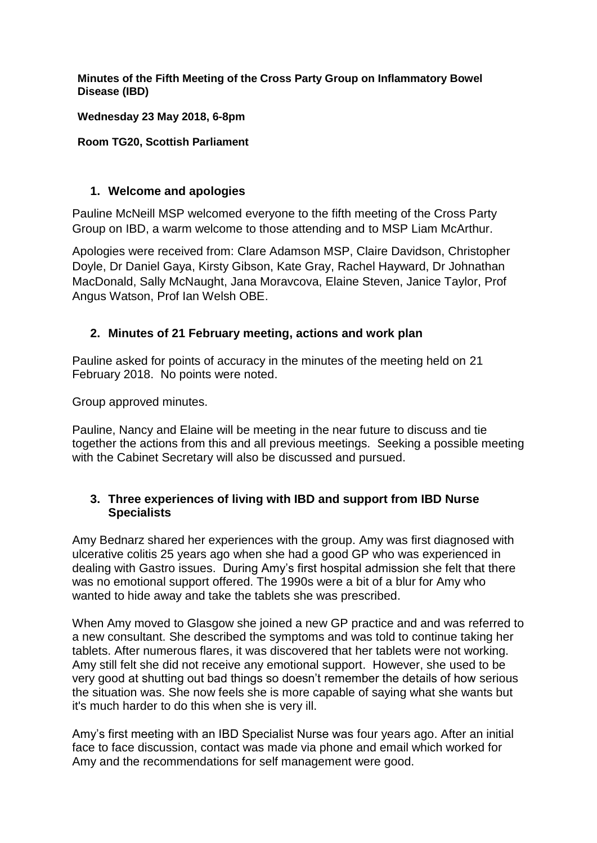**Minutes of the Fifth Meeting of the Cross Party Group on Inflammatory Bowel Disease (IBD)**

**Wednesday 23 May 2018, 6-8pm**

#### **Room TG20, Scottish Parliament**

#### **1. Welcome and apologies**

Pauline McNeill MSP welcomed everyone to the fifth meeting of the Cross Party Group on IBD, a warm welcome to those attending and to MSP Liam McArthur.

Apologies were received from: Clare Adamson MSP, Claire Davidson, Christopher Doyle, Dr Daniel Gaya, Kirsty Gibson, Kate Gray, Rachel Hayward, Dr Johnathan MacDonald, Sally McNaught, Jana Moravcova, Elaine Steven, Janice Taylor, Prof Angus Watson, Prof Ian Welsh OBE.

### **2. Minutes of 21 February meeting, actions and work plan**

Pauline asked for points of accuracy in the minutes of the meeting held on 21 February 2018. No points were noted.

Group approved minutes.

Pauline, Nancy and Elaine will be meeting in the near future to discuss and tie together the actions from this and all previous meetings. Seeking a possible meeting with the Cabinet Secretary will also be discussed and pursued.

### **3. Three experiences of living with IBD and support from IBD Nurse Specialists**

Amy Bednarz shared her experiences with the group. Amy was first diagnosed with ulcerative colitis 25 years ago when she had a good GP who was experienced in dealing with Gastro issues. During Amy's first hospital admission she felt that there was no emotional support offered. The 1990s were a bit of a blur for Amy who wanted to hide away and take the tablets she was prescribed.

When Amy moved to Glasgow she joined a new GP practice and and was referred to a new consultant. She described the symptoms and was told to continue taking her tablets. After numerous flares, it was discovered that her tablets were not working. Amy still felt she did not receive any emotional support. However, she used to be very good at shutting out bad things so doesn't remember the details of how serious the situation was. She now feels she is more capable of saying what she wants but it's much harder to do this when she is very ill.

Amy's first meeting with an IBD Specialist Nurse was four years ago. After an initial face to face discussion, contact was made via phone and email which worked for Amy and the recommendations for self management were good.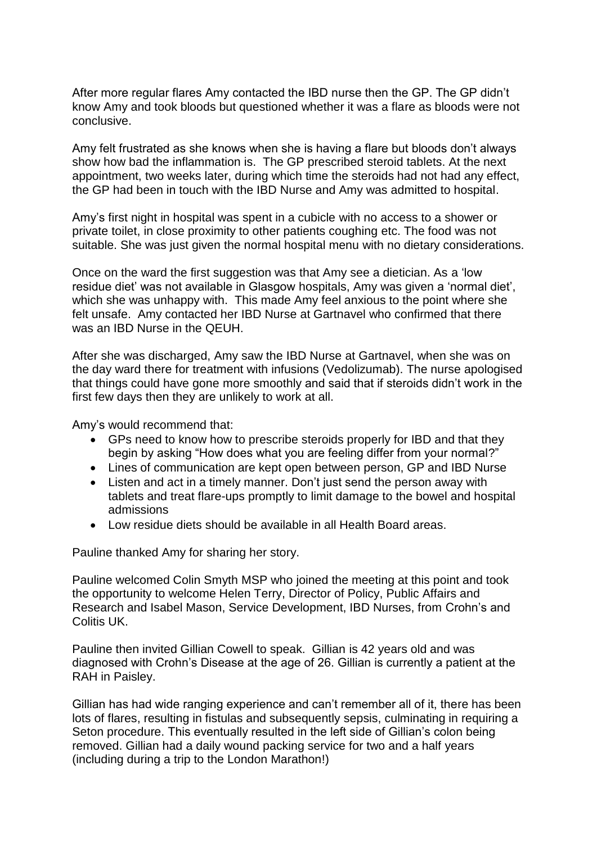After more regular flares Amy contacted the IBD nurse then the GP. The GP didn't know Amy and took bloods but questioned whether it was a flare as bloods were not conclusive.

Amy felt frustrated as she knows when she is having a flare but bloods don't always show how bad the inflammation is. The GP prescribed steroid tablets. At the next appointment, two weeks later, during which time the steroids had not had any effect, the GP had been in touch with the IBD Nurse and Amy was admitted to hospital.

Amy's first night in hospital was spent in a cubicle with no access to a shower or private toilet, in close proximity to other patients coughing etc. The food was not suitable. She was just given the normal hospital menu with no dietary considerations.

Once on the ward the first suggestion was that Amy see a dietician. As a 'low residue diet' was not available in Glasgow hospitals, Amy was given a 'normal diet', which she was unhappy with. This made Amy feel anxious to the point where she felt unsafe. Amy contacted her IBD Nurse at Gartnavel who confirmed that there was an IBD Nurse in the QEUH.

After she was discharged, Amy saw the IBD Nurse at Gartnavel, when she was on the day ward there for treatment with infusions (Vedolizumab). The nurse apologised that things could have gone more smoothly and said that if steroids didn't work in the first few days then they are unlikely to work at all.

Amy's would recommend that:

- GPs need to know how to prescribe steroids properly for IBD and that they begin by asking "How does what you are feeling differ from your normal?"
- Lines of communication are kept open between person, GP and IBD Nurse
- Listen and act in a timely manner. Don't just send the person away with tablets and treat flare-ups promptly to limit damage to the bowel and hospital admissions
- Low residue diets should be available in all Health Board areas.

Pauline thanked Amy for sharing her story.

Pauline welcomed Colin Smyth MSP who joined the meeting at this point and took the opportunity to welcome Helen Terry, Director of Policy, Public Affairs and Research and Isabel Mason, Service Development, IBD Nurses, from Crohn's and Colitis UK.

Pauline then invited Gillian Cowell to speak. Gillian is 42 years old and was diagnosed with Crohn's Disease at the age of 26. Gillian is currently a patient at the RAH in Paisley.

Gillian has had wide ranging experience and can't remember all of it, there has been lots of flares, resulting in fistulas and subsequently sepsis, culminating in requiring a Seton procedure. This eventually resulted in the left side of Gillian's colon being removed. Gillian had a daily wound packing service for two and a half years (including during a trip to the London Marathon!)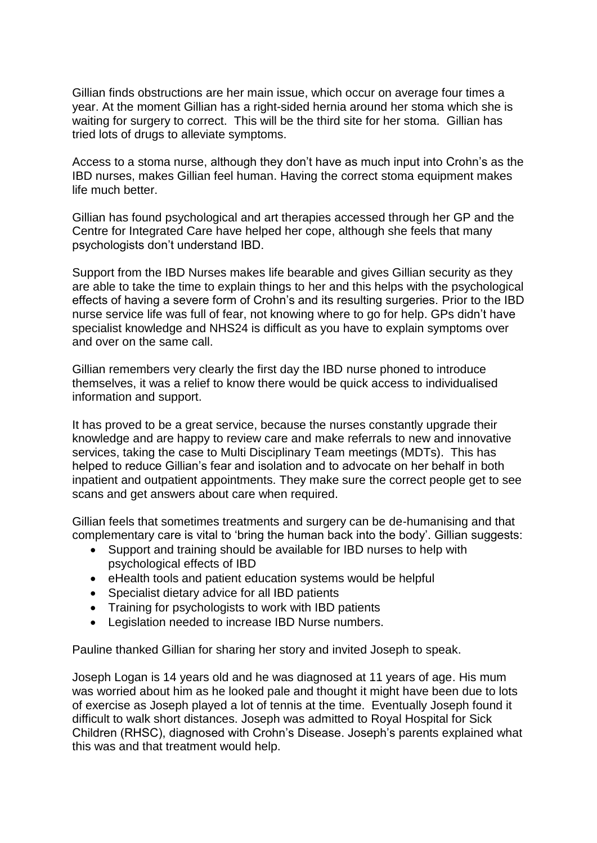Gillian finds obstructions are her main issue, which occur on average four times a year. At the moment Gillian has a right-sided hernia around her stoma which she is waiting for surgery to correct. This will be the third site for her stoma. Gillian has tried lots of drugs to alleviate symptoms.

Access to a stoma nurse, although they don't have as much input into Crohn's as the IBD nurses, makes Gillian feel human. Having the correct stoma equipment makes life much better.

Gillian has found psychological and art therapies accessed through her GP and the Centre for Integrated Care have helped her cope, although she feels that many psychologists don't understand IBD.

Support from the IBD Nurses makes life bearable and gives Gillian security as they are able to take the time to explain things to her and this helps with the psychological effects of having a severe form of Crohn's and its resulting surgeries. Prior to the IBD nurse service life was full of fear, not knowing where to go for help. GPs didn't have specialist knowledge and NHS24 is difficult as you have to explain symptoms over and over on the same call.

Gillian remembers very clearly the first day the IBD nurse phoned to introduce themselves, it was a relief to know there would be quick access to individualised information and support.

It has proved to be a great service, because the nurses constantly upgrade their knowledge and are happy to review care and make referrals to new and innovative services, taking the case to Multi Disciplinary Team meetings (MDTs). This has helped to reduce Gillian's fear and isolation and to advocate on her behalf in both inpatient and outpatient appointments. They make sure the correct people get to see scans and get answers about care when required.

Gillian feels that sometimes treatments and surgery can be de-humanising and that complementary care is vital to 'bring the human back into the body'. Gillian suggests:

- Support and training should be available for IBD nurses to help with psychological effects of IBD
- eHealth tools and patient education systems would be helpful
- Specialist dietary advice for all IBD patients
- Training for psychologists to work with IBD patients
- Legislation needed to increase IBD Nurse numbers.

Pauline thanked Gillian for sharing her story and invited Joseph to speak.

Joseph Logan is 14 years old and he was diagnosed at 11 years of age. His mum was worried about him as he looked pale and thought it might have been due to lots of exercise as Joseph played a lot of tennis at the time. Eventually Joseph found it difficult to walk short distances. Joseph was admitted to Royal Hospital for Sick Children (RHSC), diagnosed with Crohn's Disease. Joseph's parents explained what this was and that treatment would help.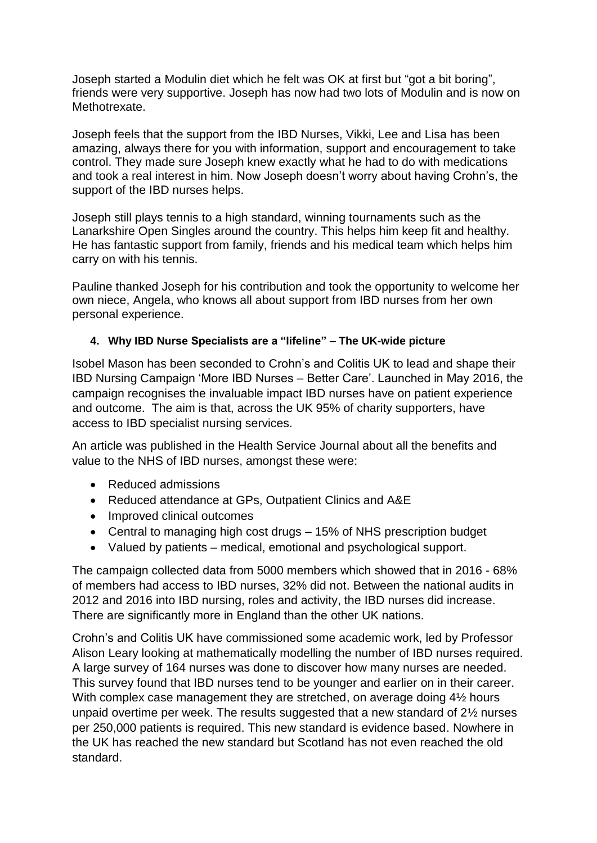Joseph started a Modulin diet which he felt was OK at first but "got a bit boring", friends were very supportive. Joseph has now had two lots of Modulin and is now on Methotrexate.

Joseph feels that the support from the IBD Nurses, Vikki, Lee and Lisa has been amazing, always there for you with information, support and encouragement to take control. They made sure Joseph knew exactly what he had to do with medications and took a real interest in him. Now Joseph doesn't worry about having Crohn's, the support of the IBD nurses helps.

Joseph still plays tennis to a high standard, winning tournaments such as the Lanarkshire Open Singles around the country. This helps him keep fit and healthy. He has fantastic support from family, friends and his medical team which helps him carry on with his tennis.

Pauline thanked Joseph for his contribution and took the opportunity to welcome her own niece, Angela, who knows all about support from IBD nurses from her own personal experience.

### **4. Why IBD Nurse Specialists are a "lifeline" – The UK-wide picture**

Isobel Mason has been seconded to Crohn's and Colitis UK to lead and shape their IBD Nursing Campaign 'More IBD Nurses – Better Care'. Launched in May 2016, the campaign recognises the invaluable impact IBD nurses have on patient experience and outcome. The aim is that, across the UK 95% of charity supporters, have access to IBD specialist nursing services.

An article was published in the Health Service Journal about all the benefits and value to the NHS of IBD nurses, amongst these were:

- Reduced admissions
- Reduced attendance at GPs, Outpatient Clinics and A&E
- Improved clinical outcomes
- Central to managing high cost drugs 15% of NHS prescription budget
- Valued by patients medical, emotional and psychological support.

The campaign collected data from 5000 members which showed that in 2016 - 68% of members had access to IBD nurses, 32% did not. Between the national audits in 2012 and 2016 into IBD nursing, roles and activity, the IBD nurses did increase. There are significantly more in England than the other UK nations.

Crohn's and Colitis UK have commissioned some academic work, led by Professor Alison Leary looking at mathematically modelling the number of IBD nurses required. A large survey of 164 nurses was done to discover how many nurses are needed. This survey found that IBD nurses tend to be younger and earlier on in their career. With complex case management they are stretched, on average doing  $4\frac{1}{2}$  hours unpaid overtime per week. The results suggested that a new standard of 2½ nurses per 250,000 patients is required. This new standard is evidence based. Nowhere in the UK has reached the new standard but Scotland has not even reached the old standard.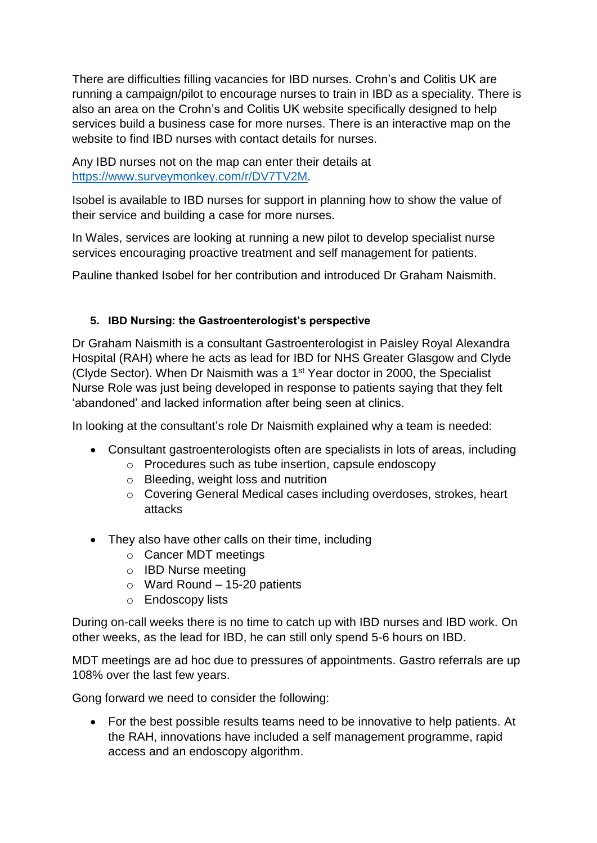There are difficulties filling vacancies for IBD nurses. Crohn's and Colitis UK are running a campaign/pilot to encourage nurses to train in IBD as a speciality. There is also an area on the Crohn's and Colitis UK website specifically designed to help services build a business case for more nurses. There is an interactive map on the website to find IBD nurses with contact details for nurses.

Any IBD nurses not on the map can enter their details at [https://www.surveymonkey.com/r/DV7TV2M](https://emea01.safelinks.protection.outlook.com/?url=https%3A%2F%2Fwww.surveymonkey.com%2Fr%2FDV7TV2M&data=02%7C01%7C%7Cecfc90986779427a0d9e08d6125c3e1d%7Ceb3d6275fd934e18be386dfb46c282e7%7C1%7C0%7C636716584727747933&sdata=u%2FWkkOZpzgr5getpgZ6hPIpIk6liPHJeBPyemfeabLU%3D&reserved=0).

Isobel is available to IBD nurses for support in planning how to show the value of their service and building a case for more nurses.

In Wales, services are looking at running a new pilot to develop specialist nurse services encouraging proactive treatment and self management for patients.

Pauline thanked Isobel for her contribution and introduced Dr Graham Naismith.

## **5. IBD Nursing: the Gastroenterologist's perspective**

Dr Graham Naismith is a consultant Gastroenterologist in Paisley Royal Alexandra Hospital (RAH) where he acts as lead for IBD for NHS Greater Glasgow and Clyde (Clyde Sector). When Dr Naismith was a 1<sup>st</sup> Year doctor in 2000, the Specialist Nurse Role was just being developed in response to patients saying that they felt 'abandoned' and lacked information after being seen at clinics.

In looking at the consultant's role Dr Naismith explained why a team is needed:

- Consultant gastroenterologists often are specialists in lots of areas, including
	- o Procedures such as tube insertion, capsule endoscopy
	- o Bleeding, weight loss and nutrition
	- o Covering General Medical cases including overdoses, strokes, heart attacks
- They also have other calls on their time, including
	- o Cancer MDT meetings
	- o IBD Nurse meeting
	- $\circ$  Ward Round 15-20 patients
	- o Endoscopy lists

During on-call weeks there is no time to catch up with IBD nurses and IBD work. On other weeks, as the lead for IBD, he can still only spend 5-6 hours on IBD.

MDT meetings are ad hoc due to pressures of appointments. Gastro referrals are up 108% over the last few years.

Gong forward we need to consider the following:

• For the best possible results teams need to be innovative to help patients. At the RAH, innovations have included a self management programme, rapid access and an endoscopy algorithm.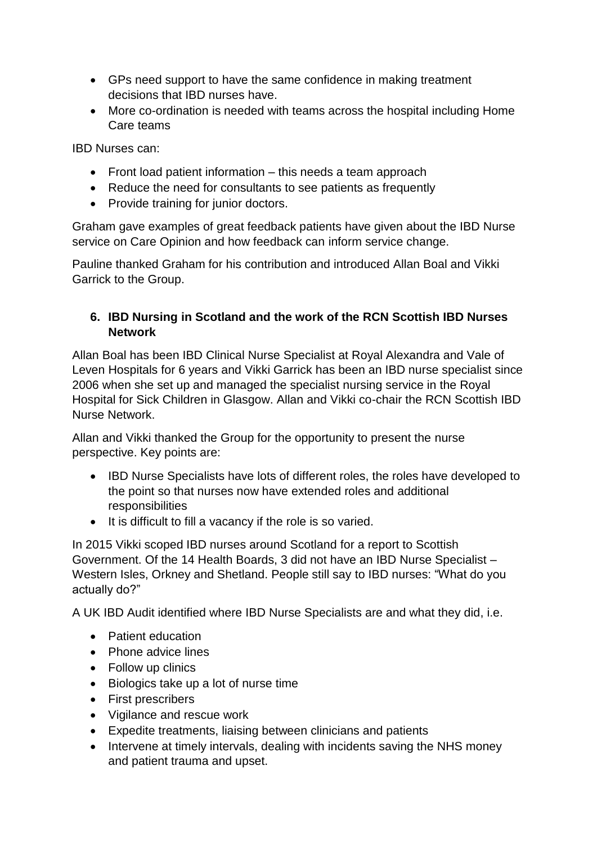- GPs need support to have the same confidence in making treatment decisions that IBD nurses have.
- More co-ordination is needed with teams across the hospital including Home Care teams

IBD Nurses can:

- Front load patient information this needs a team approach
- Reduce the need for consultants to see patients as frequently
- Provide training for junior doctors.

Graham gave examples of great feedback patients have given about the IBD Nurse service on Care Opinion and how feedback can inform service change.

Pauline thanked Graham for his contribution and introduced Allan Boal and Vikki Garrick to the Group.

## **6. IBD Nursing in Scotland and the work of the RCN Scottish IBD Nurses Network**

Allan Boal has been IBD Clinical Nurse Specialist at Royal Alexandra and Vale of Leven Hospitals for 6 years and Vikki Garrick has been an IBD nurse specialist since 2006 when she set up and managed the specialist nursing service in the Royal Hospital for Sick Children in Glasgow. Allan and Vikki co-chair the RCN Scottish IBD Nurse Network.

Allan and Vikki thanked the Group for the opportunity to present the nurse perspective. Key points are:

- IBD Nurse Specialists have lots of different roles, the roles have developed to the point so that nurses now have extended roles and additional responsibilities
- It is difficult to fill a vacancy if the role is so varied.

In 2015 Vikki scoped IBD nurses around Scotland for a report to Scottish Government. Of the 14 Health Boards, 3 did not have an IBD Nurse Specialist – Western Isles, Orkney and Shetland. People still say to IBD nurses: "What do you actually do?"

A UK IBD Audit identified where IBD Nurse Specialists are and what they did, i.e.

- Patient education
- Phone advice lines
- Follow up clinics
- Biologics take up a lot of nurse time
- First prescribers
- Vigilance and rescue work
- Expedite treatments, liaising between clinicians and patients
- Intervene at timely intervals, dealing with incidents saving the NHS money and patient trauma and upset.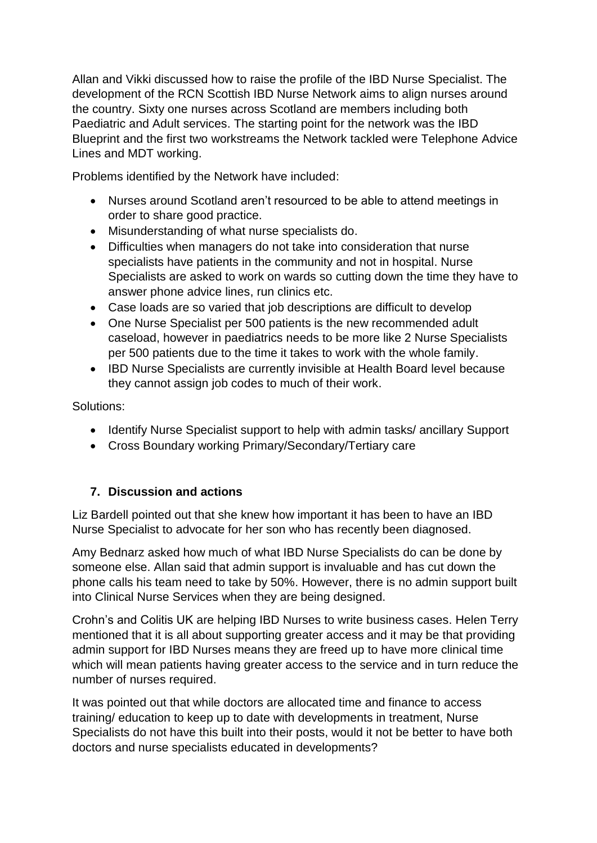Allan and Vikki discussed how to raise the profile of the IBD Nurse Specialist. The development of the RCN Scottish IBD Nurse Network aims to align nurses around the country. Sixty one nurses across Scotland are members including both Paediatric and Adult services. The starting point for the network was the IBD Blueprint and the first two workstreams the Network tackled were Telephone Advice Lines and MDT working.

Problems identified by the Network have included:

- Nurses around Scotland aren't resourced to be able to attend meetings in order to share good practice.
- Misunderstanding of what nurse specialists do.
- Difficulties when managers do not take into consideration that nurse specialists have patients in the community and not in hospital. Nurse Specialists are asked to work on wards so cutting down the time they have to answer phone advice lines, run clinics etc.
- Case loads are so varied that job descriptions are difficult to develop
- One Nurse Specialist per 500 patients is the new recommended adult caseload, however in paediatrics needs to be more like 2 Nurse Specialists per 500 patients due to the time it takes to work with the whole family.
- IBD Nurse Specialists are currently invisible at Health Board level because they cannot assign job codes to much of their work.

Solutions:

- Identify Nurse Specialist support to help with admin tasks/ ancillary Support
- Cross Boundary working Primary/Secondary/Tertiary care

### **7. Discussion and actions**

Liz Bardell pointed out that she knew how important it has been to have an IBD Nurse Specialist to advocate for her son who has recently been diagnosed.

Amy Bednarz asked how much of what IBD Nurse Specialists do can be done by someone else. Allan said that admin support is invaluable and has cut down the phone calls his team need to take by 50%. However, there is no admin support built into Clinical Nurse Services when they are being designed.

Crohn's and Colitis UK are helping IBD Nurses to write business cases. Helen Terry mentioned that it is all about supporting greater access and it may be that providing admin support for IBD Nurses means they are freed up to have more clinical time which will mean patients having greater access to the service and in turn reduce the number of nurses required.

It was pointed out that while doctors are allocated time and finance to access training/ education to keep up to date with developments in treatment, Nurse Specialists do not have this built into their posts, would it not be better to have both doctors and nurse specialists educated in developments?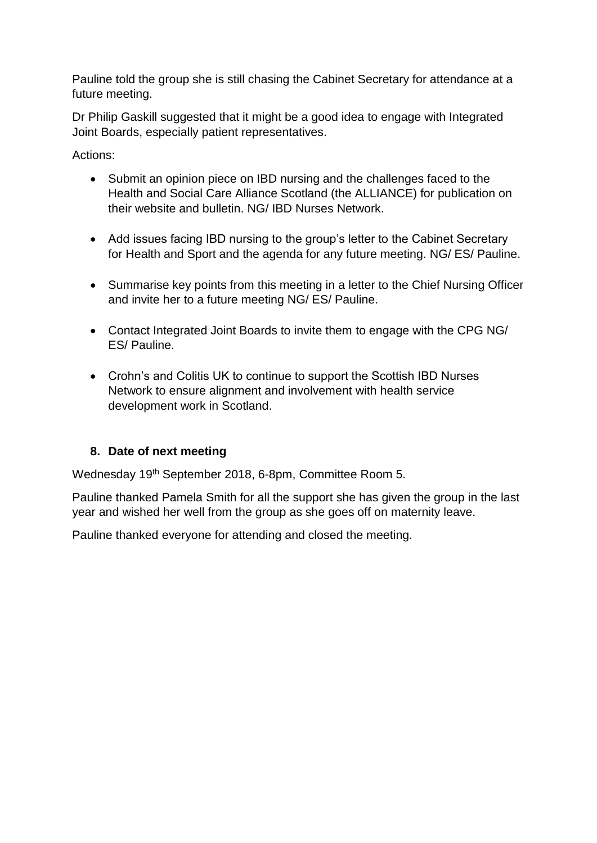Pauline told the group she is still chasing the Cabinet Secretary for attendance at a future meeting.

Dr Philip Gaskill suggested that it might be a good idea to engage with Integrated Joint Boards, especially patient representatives.

Actions:

- Submit an opinion piece on IBD nursing and the challenges faced to the Health and Social Care Alliance Scotland (the ALLIANCE) for publication on their website and bulletin. NG/ IBD Nurses Network.
- Add issues facing IBD nursing to the group's letter to the Cabinet Secretary for Health and Sport and the agenda for any future meeting. NG/ ES/ Pauline.
- Summarise key points from this meeting in a letter to the Chief Nursing Officer and invite her to a future meeting NG/ ES/ Pauline.
- Contact Integrated Joint Boards to invite them to engage with the CPG NG/ ES/ Pauline.
- Crohn's and Colitis UK to continue to support the Scottish IBD Nurses Network to ensure alignment and involvement with health service development work in Scotland.

# **8. Date of next meeting**

Wednesday 19th September 2018, 6-8pm, Committee Room 5.

Pauline thanked Pamela Smith for all the support she has given the group in the last year and wished her well from the group as she goes off on maternity leave.

Pauline thanked everyone for attending and closed the meeting.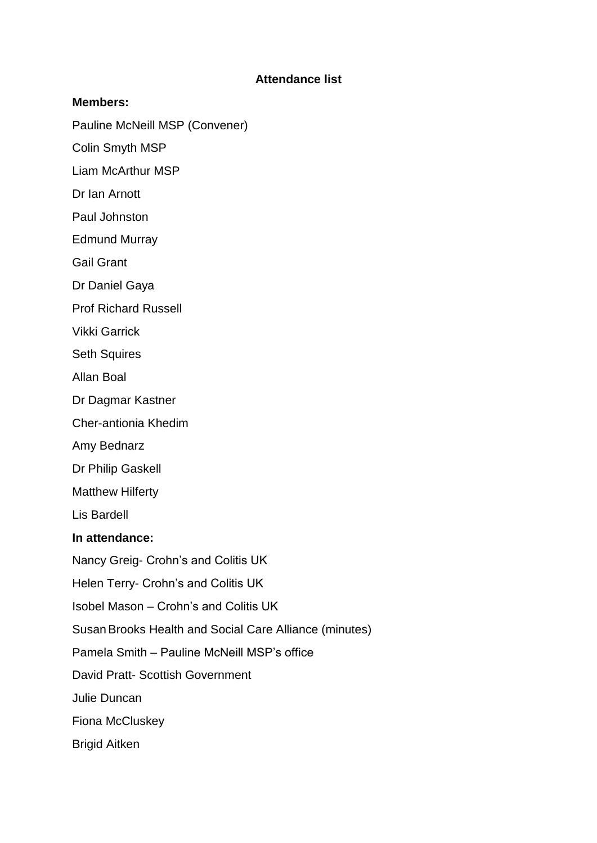### **Attendance list**

#### **Members:**

Pauline McNeill MSP (Convener)

Colin Smyth MSP

Liam McArthur MSP

Dr Ian Arnott

Paul Johnston

Edmund Murray

Gail Grant

Dr Daniel Gaya

Prof Richard Russell

Vikki Garrick

Seth Squires

Allan Boal

Dr Dagmar Kastner

Cher-antionia Khedim

Amy Bednarz

Dr Philip Gaskell

Matthew Hilferty

Lis Bardell

#### **In attendance:**

Nancy Greig- Crohn's and Colitis UK

Helen Terry- Crohn's and Colitis UK

Isobel Mason – Crohn's and Colitis UK

SusanBrooks Health and Social Care Alliance (minutes)

Pamela Smith – Pauline McNeill MSP's office

David Pratt- Scottish Government

Julie Duncan

Fiona McCluskey

Brigid Aitken